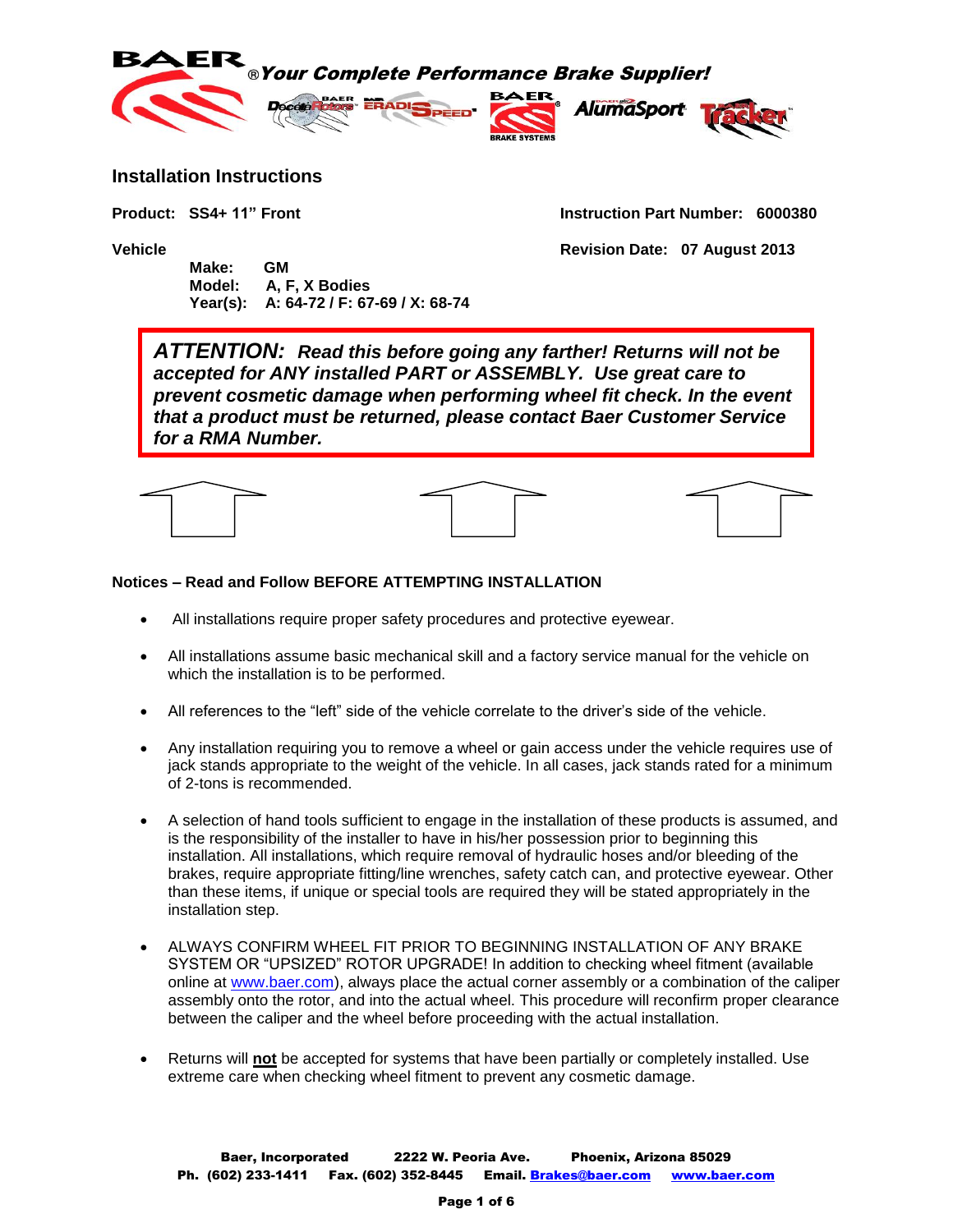

### **Installation Instructions**

**Product: SS4+ 11" Front Instruction Part Number: 6000380**

**Vehicle Revision Date: 07 August 2013**

 **Make: GM Model: A, F, X Bodies Year(s): A: 64-72 / F: 67-69 / X: 68-74**

*ATTENTION: Read this before going any farther! Returns will not be accepted for ANY installed PART or ASSEMBLY. Use great care to prevent cosmetic damage when performing wheel fit check. In the event that a product must be returned, please contact Baer Customer Service for a RMA Number.*



#### **Notices – Read and Follow BEFORE ATTEMPTING INSTALLATION**

- All installations require proper safety procedures and protective eyewear.
- All installations assume basic mechanical skill and a factory service manual for the vehicle on which the installation is to be performed.
- All references to the "left" side of the vehicle correlate to the driver's side of the vehicle.
- Any installation requiring you to remove a wheel or gain access under the vehicle requires use of jack stands appropriate to the weight of the vehicle. In all cases, jack stands rated for a minimum of 2-tons is recommended.
- A selection of hand tools sufficient to engage in the installation of these products is assumed, and is the responsibility of the installer to have in his/her possession prior to beginning this installation. All installations, which require removal of hydraulic hoses and/or bleeding of the brakes, require appropriate fitting/line wrenches, safety catch can, and protective eyewear. Other than these items, if unique or special tools are required they will be stated appropriately in the installation step.
- ALWAYS CONFIRM WHEEL FIT PRIOR TO BEGINNING INSTALLATION OF ANY BRAKE SYSTEM OR "UPSIZED" ROTOR UPGRADE! In addition to checking wheel fitment (available online at [www.baer.com\)](http://www.baer.com/), always place the actual corner assembly or a combination of the caliper assembly onto the rotor, and into the actual wheel. This procedure will reconfirm proper clearance between the caliper and the wheel before proceeding with the actual installation.
- Returns will **not** be accepted for systems that have been partially or completely installed. Use extreme care when checking wheel fitment to prevent any cosmetic damage.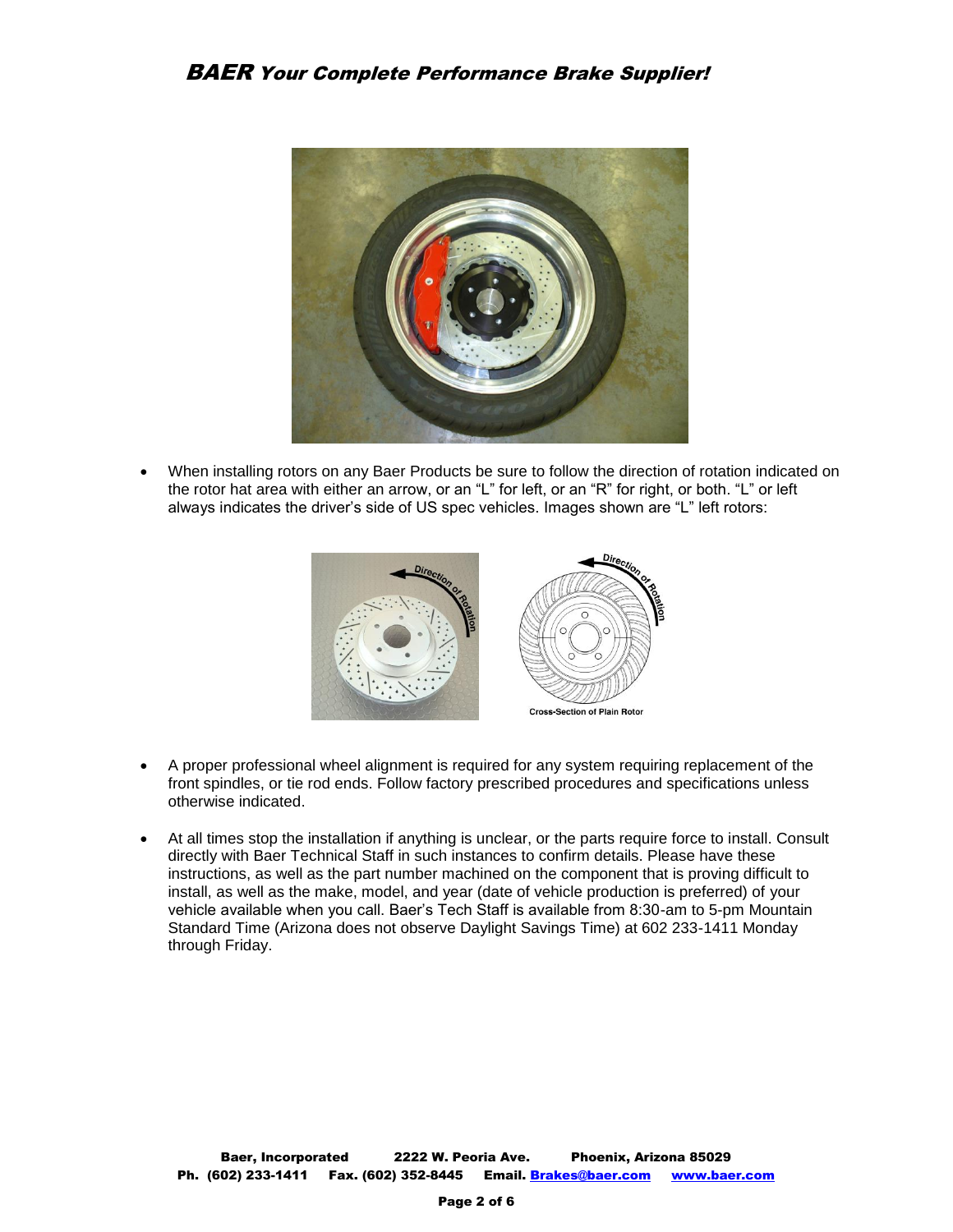

 When installing rotors on any Baer Products be sure to follow the direction of rotation indicated on the rotor hat area with either an arrow, or an "L" for left, or an "R" for right, or both. "L" or left always indicates the driver's side of US spec vehicles. Images shown are "L" left rotors:



- A proper professional wheel alignment is required for any system requiring replacement of the front spindles, or tie rod ends. Follow factory prescribed procedures and specifications unless otherwise indicated.
- At all times stop the installation if anything is unclear, or the parts require force to install. Consult directly with Baer Technical Staff in such instances to confirm details. Please have these instructions, as well as the part number machined on the component that is proving difficult to install, as well as the make, model, and year (date of vehicle production is preferred) of your vehicle available when you call. Baer's Tech Staff is available from 8:30-am to 5-pm Mountain Standard Time (Arizona does not observe Daylight Savings Time) at 602 233-1411 Monday through Friday.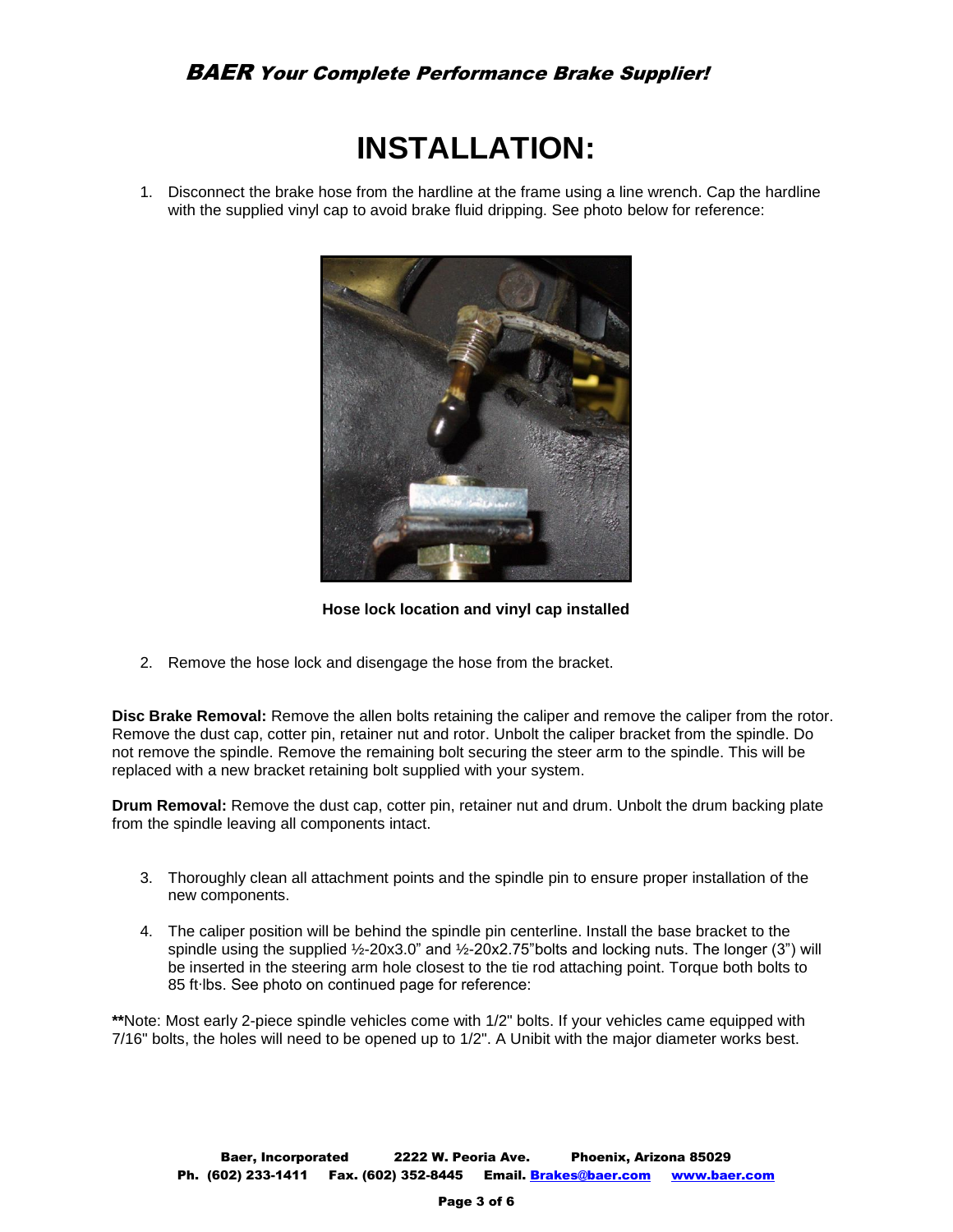## BAER Your Complete Performance Brake Supplier!

# **INSTALLATION:**

1. Disconnect the brake hose from the hardline at the frame using a line wrench. Cap the hardline with the supplied vinyl cap to avoid brake fluid dripping. See photo below for reference:



**Hose lock location and vinyl cap installed**

2. Remove the hose lock and disengage the hose from the bracket.

**Disc Brake Removal:** Remove the allen bolts retaining the caliper and remove the caliper from the rotor. Remove the dust cap, cotter pin, retainer nut and rotor. Unbolt the caliper bracket from the spindle. Do not remove the spindle. Remove the remaining bolt securing the steer arm to the spindle. This will be replaced with a new bracket retaining bolt supplied with your system.

**Drum Removal:** Remove the dust cap, cotter pin, retainer nut and drum. Unbolt the drum backing plate from the spindle leaving all components intact.

- 3. Thoroughly clean all attachment points and the spindle pin to ensure proper installation of the new components.
- 4. The caliper position will be behind the spindle pin centerline. Install the base bracket to the spindle using the supplied ½-20x3.0" and ½-20x2.75"bolts and locking nuts. The longer (3") will be inserted in the steering arm hole closest to the tie rod attaching point. Torque both bolts to 85 ft∙lbs. See photo on continued page for reference:

**\*\***Note: Most early 2-piece spindle vehicles come with 1/2" bolts. If your vehicles came equipped with 7/16" bolts, the holes will need to be opened up to 1/2". A Unibit with the major diameter works best.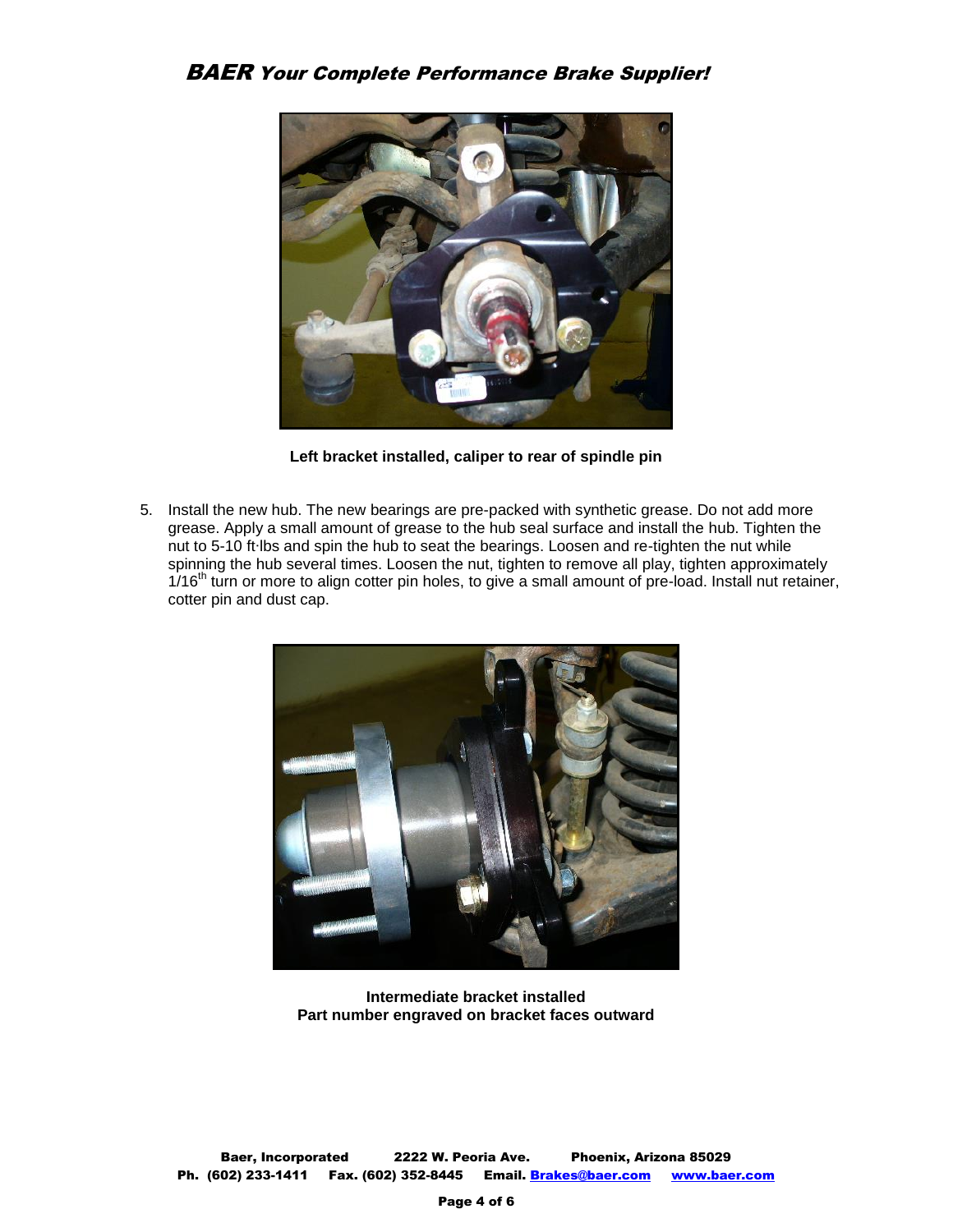

**Left bracket installed, caliper to rear of spindle pin**

5. Install the new hub. The new bearings are pre-packed with synthetic grease. Do not add more grease. Apply a small amount of grease to the hub seal surface and install the hub. Tighten the nut to 5-10 ft∙lbs and spin the hub to seat the bearings. Loosen and re-tighten the nut while spinning the hub several times. Loosen the nut, tighten to remove all play, tighten approximately 1/16<sup>th</sup> turn or more to align cotter pin holes, to give a small amount of pre-load. Install nut retainer, cotter pin and dust cap.



**Intermediate bracket installed Part number engraved on bracket faces outward**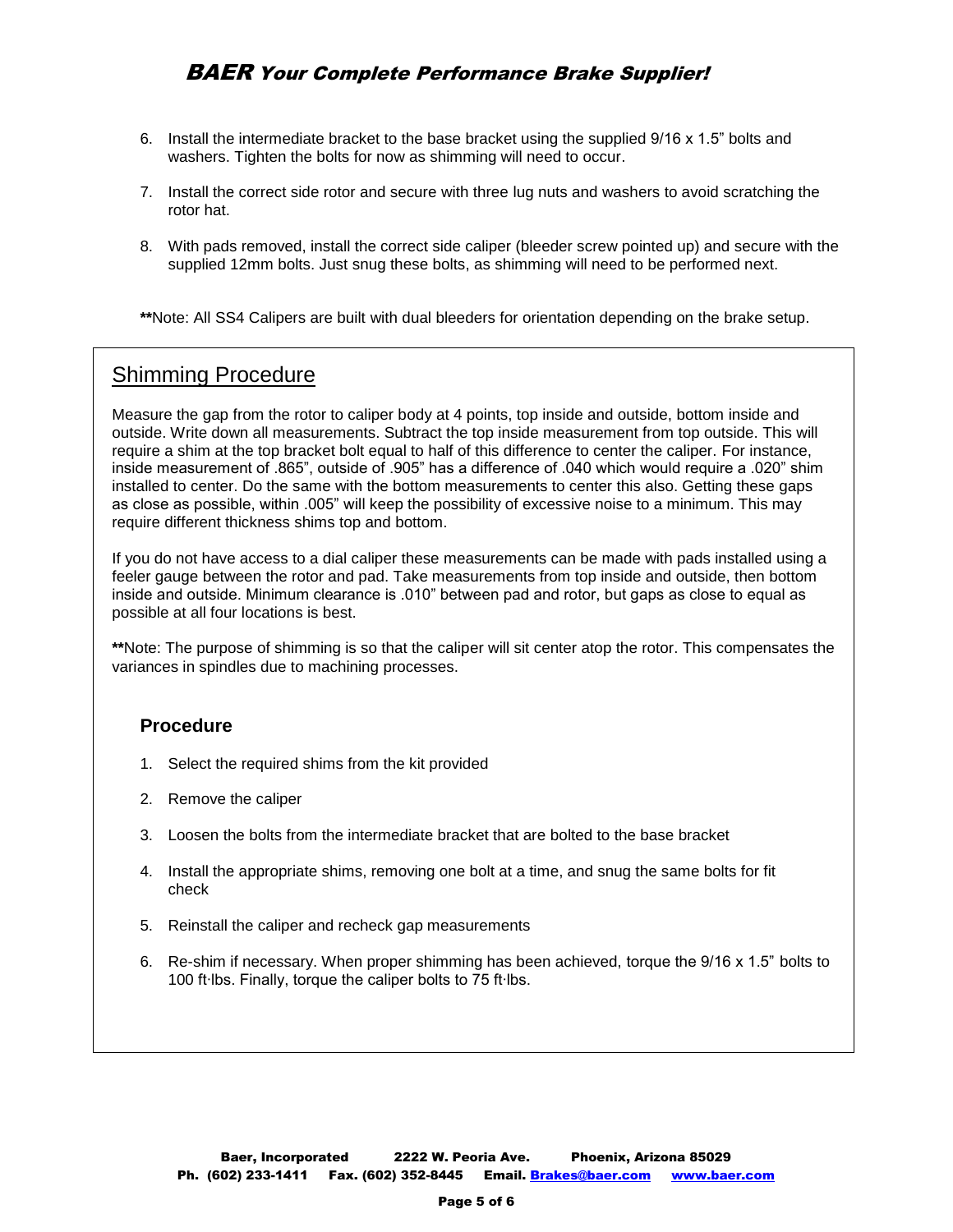- 6. Install the intermediate bracket to the base bracket using the supplied 9/16 x 1.5" bolts and washers. Tighten the bolts for now as shimming will need to occur.
- 7. Install the correct side rotor and secure with three lug nuts and washers to avoid scratching the rotor hat.
- 8. With pads removed, install the correct side caliper (bleeder screw pointed up) and secure with the supplied 12mm bolts. Just snug these bolts, as shimming will need to be performed next.

**\*\***Note: All SS4 Calipers are built with dual bleeders for orientation depending on the brake setup.

# Shimming Procedure

Measure the gap from the rotor to caliper body at 4 points, top inside and outside, bottom inside and outside. Write down all measurements. Subtract the top inside measurement from top outside. This will require a shim at the top bracket bolt equal to half of this difference to center the caliper. For instance, inside measurement of .865", outside of .905" has a difference of .040 which would require a .020" shim installed to center. Do the same with the bottom measurements to center this also. Getting these gaps as close as possible, within .005" will keep the possibility of excessive noise to a minimum. This may require different thickness shims top and bottom.

If you do not have access to a dial caliper these measurements can be made with pads installed using a feeler gauge between the rotor and pad. Take measurements from top inside and outside, then bottom inside and outside. Minimum clearance is .010" between pad and rotor, but gaps as close to equal as possible at all four locations is best.

**\*\***Note: The purpose of shimming is so that the caliper will sit center atop the rotor. This compensates the variances in spindles due to machining processes.

## **Procedure**

- 1. Select the required shims from the kit provided
- 2. Remove the caliper
- 3. Loosen the bolts from the intermediate bracket that are bolted to the base bracket
- 4. Install the appropriate shims, removing one bolt at a time, and snug the same bolts for fit check
- 5. Reinstall the caliper and recheck gap measurements
- 6. Re-shim if necessary. When proper shimming has been achieved, torque the 9/16 x 1.5" bolts to 100 ft∙lbs. Finally, torque the caliper bolts to 75 ft∙lbs.